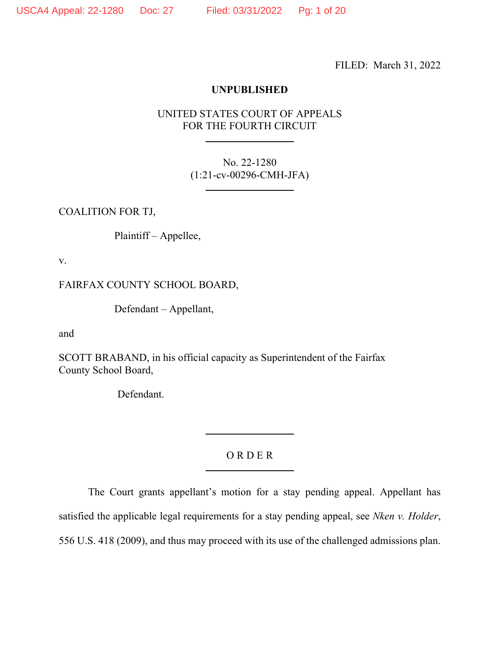FILED: March 31, 2022

# **UNPUBLISHED**

# UNITED STATES COURT OF APPEALS FOR THE FOURTH CIRCUIT

No. 22-1280 (1:21-cv-00296-CMH-JFA)

COALITION FOR TJ,

Plaintiff – Appellee,

v.

FAIRFAX COUNTY SCHOOL BOARD,

Defendant – Appellant,

and

SCOTT BRABAND, in his official capacity as Superintendent of the Fairfax County School Board,

Defendant.

# O R D E R

The Court grants appellant's motion for a stay pending appeal. Appellant has satisfied the applicable legal requirements for a stay pending appeal, see *Nken v. Holder*, 556 U.S. 418 (2009), and thus may proceed with its use of the challenged admissions plan.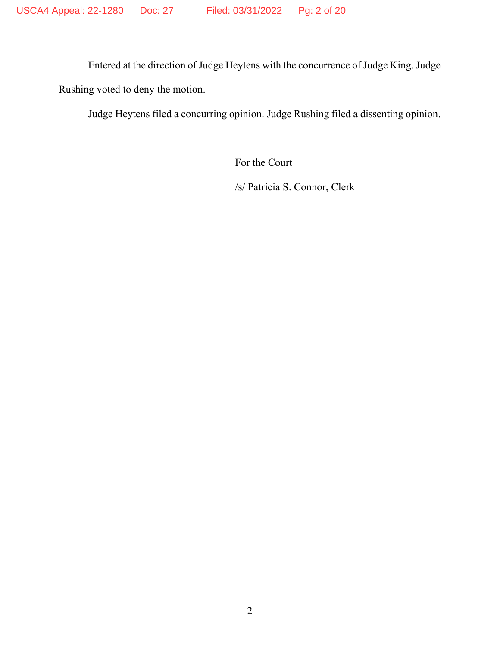Entered at the direction of Judge Heytens with the concurrence of Judge King. Judge Rushing voted to deny the motion.

Judge Heytens filed a concurring opinion. Judge Rushing filed a dissenting opinion.

For the Court

/s/ Patricia S. Connor, Clerk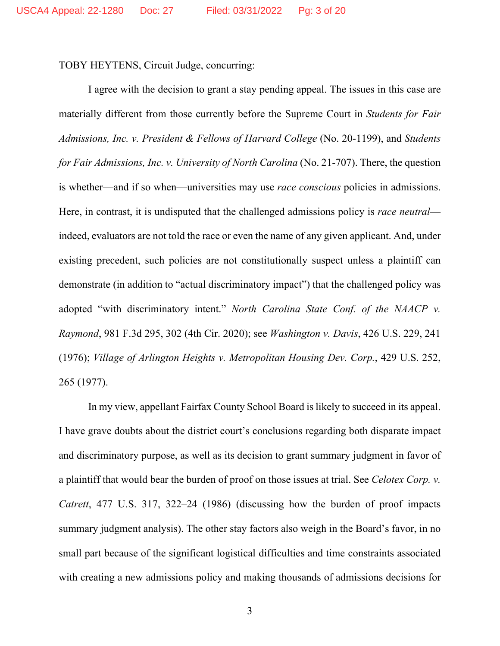TOBY HEYTENS, Circuit Judge, concurring:

I agree with the decision to grant a stay pending appeal. The issues in this case are materially different from those currently before the Supreme Court in *Students for Fair Admissions, Inc. v. President & Fellows of Harvard College* (No. 20-1199), and *Students for Fair Admissions, Inc. v. University of North Carolina* (No. 21-707). There, the question is whether—and if so when—universities may use *race conscious* policies in admissions. Here, in contrast, it is undisputed that the challenged admissions policy is *race neutral* indeed, evaluators are not told the race or even the name of any given applicant. And, under existing precedent, such policies are not constitutionally suspect unless a plaintiff can demonstrate (in addition to "actual discriminatory impact") that the challenged policy was adopted "with discriminatory intent." *North Carolina State Conf. of the NAACP v. Raymond*, 981 F.3d 295, 302 (4th Cir. 2020); see *Washington v. Davis*, 426 U.S. 229, 241 (1976); *Village of Arlington Heights v. Metropolitan Housing Dev. Corp.*, 429 U.S. 252, 265 (1977).

In my view, appellant Fairfax County School Board is likely to succeed in its appeal. I have grave doubts about the district court's conclusions regarding both disparate impact and discriminatory purpose, as well as its decision to grant summary judgment in favor of a plaintiff that would bear the burden of proof on those issues at trial. See *Celotex Corp. v. Catrett*, 477 U.S. 317, 322–24 (1986) (discussing how the burden of proof impacts summary judgment analysis). The other stay factors also weigh in the Board's favor, in no small part because of the significant logistical difficulties and time constraints associated with creating a new admissions policy and making thousands of admissions decisions for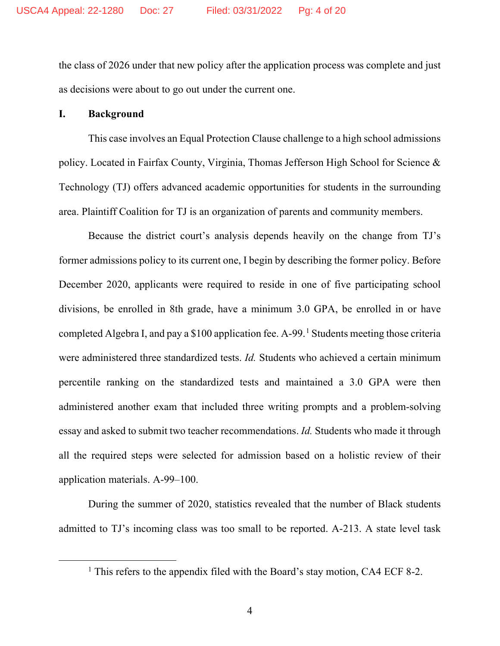the class of 2026 under that new policy after the application process was complete and just as decisions were about to go out under the current one.

#### **I. Background**

This case involves an Equal Protection Clause challenge to a high school admissions policy. Located in Fairfax County, Virginia, Thomas Jefferson High School for Science & Technology (TJ) offers advanced academic opportunities for students in the surrounding area. Plaintiff Coalition for TJ is an organization of parents and community members.

Because the district court's analysis depends heavily on the change from TJ's former admissions policy to its current one, I begin by describing the former policy. Before December 2020, applicants were required to reside in one of five participating school divisions, be enrolled in 8th grade, have a minimum 3.0 GPA, be enrolled in or have completed Algebra I, and pay a \$100 application fee. A-99. [1](#page-3-0) Students meeting those criteria were administered three standardized tests. *Id.* Students who achieved a certain minimum percentile ranking on the standardized tests and maintained a 3.0 GPA were then administered another exam that included three writing prompts and a problem-solving essay and asked to submit two teacher recommendations. *Id.* Students who made it through all the required steps were selected for admission based on a holistic review of their application materials. A-99–100.

During the summer of 2020, statistics revealed that the number of Black students admitted to TJ's incoming class was too small to be reported. A-213. A state level task

<span id="page-3-0"></span><sup>&</sup>lt;sup>1</sup> This refers to the appendix filed with the Board's stay motion, CA4 ECF 8-2.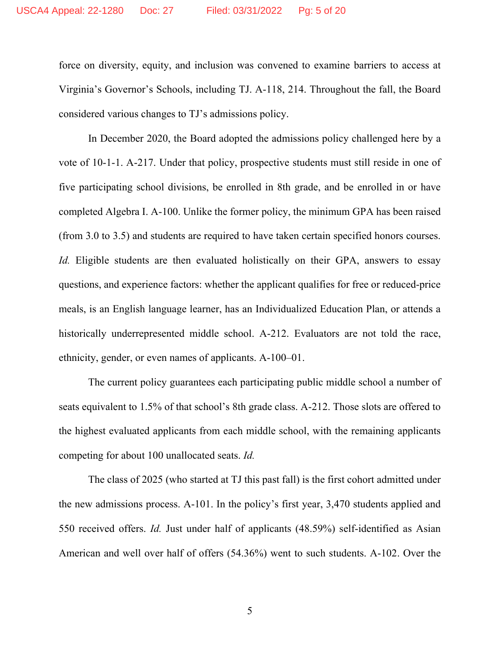force on diversity, equity, and inclusion was convened to examine barriers to access at Virginia's Governor's Schools, including TJ. A-118, 214. Throughout the fall, the Board considered various changes to TJ's admissions policy.

In December 2020, the Board adopted the admissions policy challenged here by a vote of 10-1-1. A-217. Under that policy, prospective students must still reside in one of five participating school divisions, be enrolled in 8th grade, and be enrolled in or have completed Algebra I. A-100. Unlike the former policy, the minimum GPA has been raised (from 3.0 to 3.5) and students are required to have taken certain specified honors courses. *Id.* Eligible students are then evaluated holistically on their GPA, answers to essay questions, and experience factors: whether the applicant qualifies for free or reduced-price meals, is an English language learner, has an Individualized Education Plan, or attends a historically underrepresented middle school. A-212. Evaluators are not told the race, ethnicity, gender, or even names of applicants. A-100–01.

The current policy guarantees each participating public middle school a number of seats equivalent to 1.5% of that school's 8th grade class. A-212. Those slots are offered to the highest evaluated applicants from each middle school, with the remaining applicants competing for about 100 unallocated seats. *Id.*

The class of 2025 (who started at TJ this past fall) is the first cohort admitted under the new admissions process. A-101. In the policy's first year, 3,470 students applied and 550 received offers. *Id.* Just under half of applicants (48.59%) self-identified as Asian American and well over half of offers (54.36%) went to such students. A-102. Over the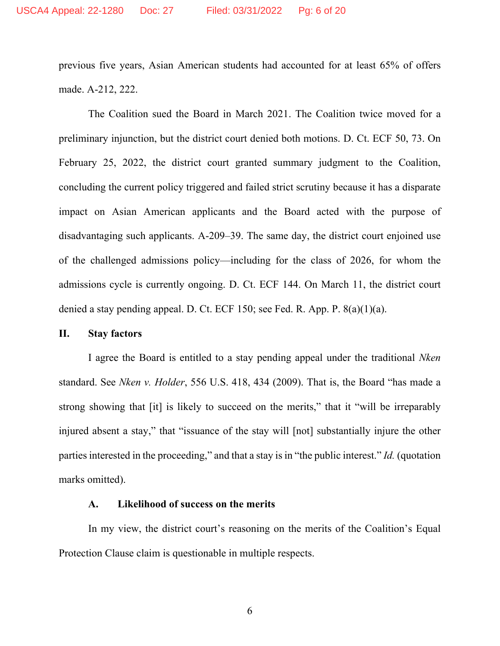previous five years, Asian American students had accounted for at least 65% of offers made. A-212, 222.

The Coalition sued the Board in March 2021. The Coalition twice moved for a preliminary injunction, but the district court denied both motions. D. Ct. ECF 50, 73. On February 25, 2022, the district court granted summary judgment to the Coalition, concluding the current policy triggered and failed strict scrutiny because it has a disparate impact on Asian American applicants and the Board acted with the purpose of disadvantaging such applicants. A-209–39. The same day, the district court enjoined use of the challenged admissions policy—including for the class of 2026, for whom the admissions cycle is currently ongoing. D. Ct. ECF 144. On March 11, the district court denied a stay pending appeal. D. Ct. ECF 150; see Fed. R. App. P. 8(a)(1)(a).

# **II. Stay factors**

I agree the Board is entitled to a stay pending appeal under the traditional *Nken*  standard. See *Nken v. Holder*, 556 U.S. 418, 434 (2009). That is, the Board "has made a strong showing that [it] is likely to succeed on the merits," that it "will be irreparably injured absent a stay," that "issuance of the stay will [not] substantially injure the other parties interested in the proceeding," and that a stay is in "the public interest." *Id.* (quotation marks omitted).

#### **A. Likelihood of success on the merits**

In my view, the district court's reasoning on the merits of the Coalition's Equal Protection Clause claim is questionable in multiple respects.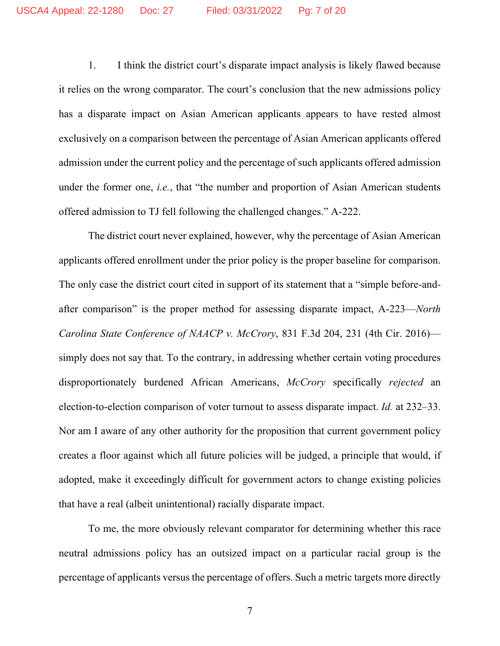1. I think the district court's disparate impact analysis is likely flawed because it relies on the wrong comparator. The court's conclusion that the new admissions policy has a disparate impact on Asian American applicants appears to have rested almost exclusively on a comparison between the percentage of Asian American applicants offered admission under the current policy and the percentage of such applicants offered admission under the former one, *i.e.*, that "the number and proportion of Asian American students offered admission to TJ fell following the challenged changes." A-222.

The district court never explained, however, why the percentage of Asian American applicants offered enrollment under the prior policy is the proper baseline for comparison. The only case the district court cited in support of its statement that a "simple before-andafter comparison" is the proper method for assessing disparate impact, A-223—*North Carolina State Conference of NAACP v. McCrory*, 831 F.3d 204, 231 (4th Cir. 2016) simply does not say that. To the contrary, in addressing whether certain voting procedures disproportionately burdened African Americans, *McCrory* specifically *rejected* an election-to-election comparison of voter turnout to assess disparate impact. *Id.* at 232–33. Nor am I aware of any other authority for the proposition that current government policy creates a floor against which all future policies will be judged, a principle that would, if adopted, make it exceedingly difficult for government actors to change existing policies that have a real (albeit unintentional) racially disparate impact.

To me, the more obviously relevant comparator for determining whether this race neutral admissions policy has an outsized impact on a particular racial group is the percentage of applicants versus the percentage of offers. Such a metric targets more directly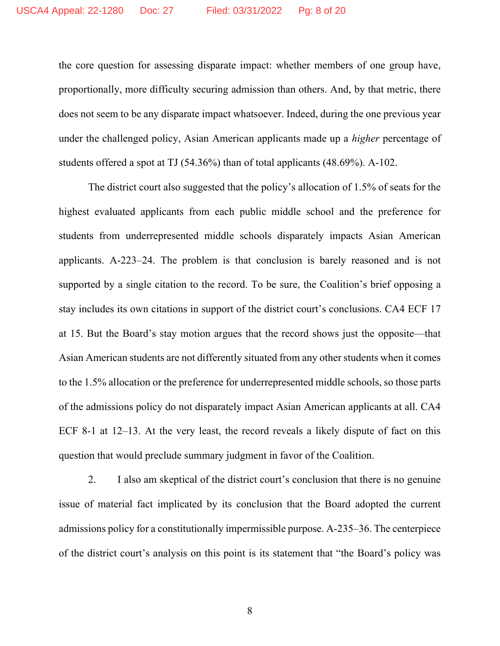the core question for assessing disparate impact: whether members of one group have, proportionally, more difficulty securing admission than others. And, by that metric, there does not seem to be any disparate impact whatsoever. Indeed, during the one previous year under the challenged policy, Asian American applicants made up a *higher* percentage of students offered a spot at TJ (54.36%) than of total applicants (48.69%). A-102.

The district court also suggested that the policy's allocation of 1.5% of seats for the highest evaluated applicants from each public middle school and the preference for students from underrepresented middle schools disparately impacts Asian American applicants. A-223–24. The problem is that conclusion is barely reasoned and is not supported by a single citation to the record. To be sure, the Coalition's brief opposing a stay includes its own citations in support of the district court's conclusions. CA4 ECF 17 at 15. But the Board's stay motion argues that the record shows just the opposite—that Asian American students are not differently situated from any other students when it comes to the 1.5% allocation or the preference for underrepresented middle schools, so those parts of the admissions policy do not disparately impact Asian American applicants at all. CA4 ECF 8-1 at 12–13. At the very least, the record reveals a likely dispute of fact on this question that would preclude summary judgment in favor of the Coalition.

2. I also am skeptical of the district court's conclusion that there is no genuine issue of material fact implicated by its conclusion that the Board adopted the current admissions policy for a constitutionally impermissible purpose. A-235–36. The centerpiece of the district court's analysis on this point is its statement that "the Board's policy was

8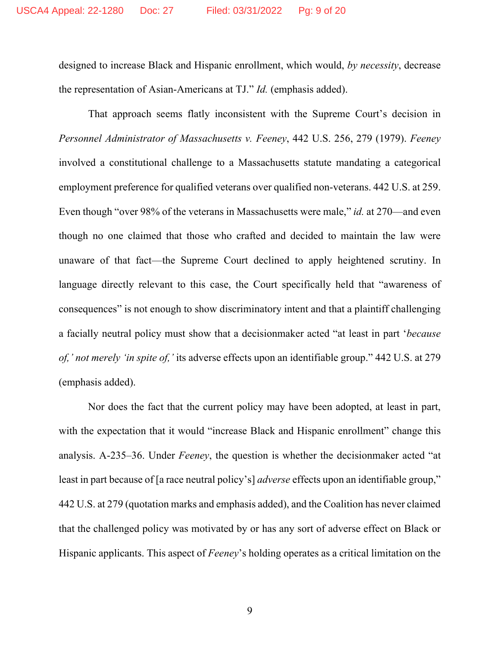designed to increase Black and Hispanic enrollment, which would, *by necessity*, decrease the representation of Asian-Americans at TJ." *Id.* (emphasis added).

That approach seems flatly inconsistent with the Supreme Court's decision in *Personnel Administrator of Massachusetts v. Feeney*, 442 U.S. 256, 279 (1979). *Feeney* involved a constitutional challenge to a Massachusetts statute mandating a categorical employment preference for qualified veterans over qualified non-veterans. 442 U.S. at 259. Even though "over 98% of the veterans in Massachusetts were male," *id.* at 270—and even though no one claimed that those who crafted and decided to maintain the law were unaware of that fact—the Supreme Court declined to apply heightened scrutiny. In language directly relevant to this case, the Court specifically held that "awareness of consequences" is not enough to show discriminatory intent and that a plaintiff challenging a facially neutral policy must show that a decisionmaker acted "at least in part '*because of,' not merely 'in spite of,'* its adverse effects upon an identifiable group." 442 U.S. at 279 (emphasis added).

Nor does the fact that the current policy may have been adopted, at least in part, with the expectation that it would "increase Black and Hispanic enrollment" change this analysis. A-235–36. Under *Feeney*, the question is whether the decisionmaker acted "at least in part because of [a race neutral policy's] *adverse* effects upon an identifiable group," 442 U.S. at 279 (quotation marks and emphasis added), and the Coalition has never claimed that the challenged policy was motivated by or has any sort of adverse effect on Black or Hispanic applicants. This aspect of *Feeney*'s holding operates as a critical limitation on the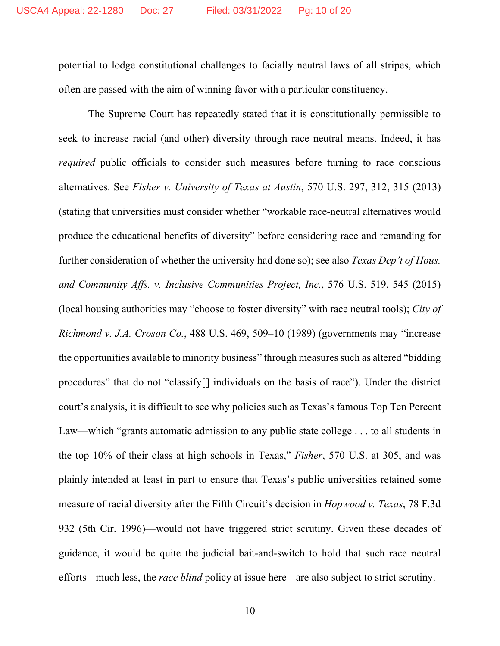potential to lodge constitutional challenges to facially neutral laws of all stripes, which often are passed with the aim of winning favor with a particular constituency.

The Supreme Court has repeatedly stated that it is constitutionally permissible to seek to increase racial (and other) diversity through race neutral means. Indeed, it has *required* public officials to consider such measures before turning to race conscious alternatives. See *Fisher v. University of Texas at Austin*, 570 U.S. 297, 312, 315 (2013) (stating that universities must consider whether "workable race-neutral alternatives would produce the educational benefits of diversity" before considering race and remanding for further consideration of whether the university had done so); see also *Texas Dep't of Hous. and Community Affs. v. Inclusive Communities Project, Inc.*, 576 U.S. 519, 545 (2015) (local housing authorities may "choose to foster diversity" with race neutral tools); *City of Richmond v. J.A. Croson Co.*, 488 U.S. 469, 509–10 (1989) (governments may "increase the opportunities available to minority business" through measures such as altered "bidding procedures" that do not "classify[] individuals on the basis of race"). Under the district court's analysis, it is difficult to see why policies such as Texas's famous Top Ten Percent Law—which "grants automatic admission to any public state college . . . to all students in the top 10% of their class at high schools in Texas," *Fisher*, 570 U.S. at 305, and was plainly intended at least in part to ensure that Texas's public universities retained some measure of racial diversity after the Fifth Circuit's decision in *Hopwood v. Texas*, 78 F.3d 932 (5th Cir. 1996)—would not have triggered strict scrutiny. Given these decades of guidance, it would be quite the judicial bait-and-switch to hold that such race neutral efforts*—*much less, the *race blind* policy at issue here*—*are also subject to strict scrutiny.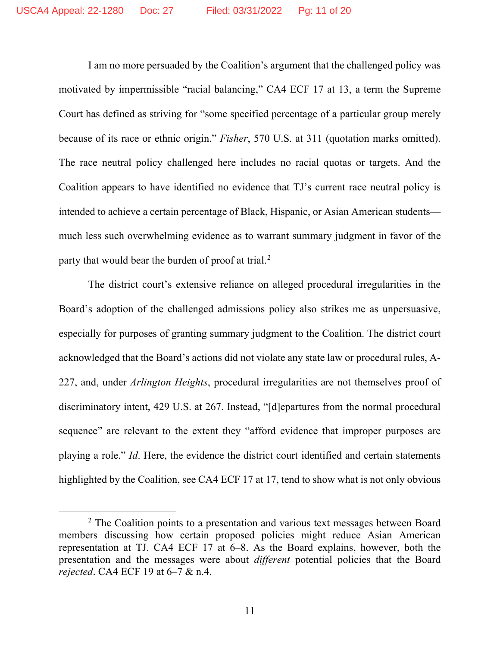I am no more persuaded by the Coalition's argument that the challenged policy was motivated by impermissible "racial balancing," CA4 ECF 17 at 13, a term the Supreme Court has defined as striving for "some specified percentage of a particular group merely because of its race or ethnic origin." *Fisher*, 570 U.S. at 311 (quotation marks omitted). The race neutral policy challenged here includes no racial quotas or targets. And the Coalition appears to have identified no evidence that TJ's current race neutral policy is intended to achieve a certain percentage of Black, Hispanic, or Asian American students much less such overwhelming evidence as to warrant summary judgment in favor of the party that would bear the burden of proof at trial.<sup>[2](#page-10-0)</sup>

The district court's extensive reliance on alleged procedural irregularities in the Board's adoption of the challenged admissions policy also strikes me as unpersuasive, especially for purposes of granting summary judgment to the Coalition. The district court acknowledged that the Board's actions did not violate any state law or procedural rules, A-227, and, under *Arlington Heights*, procedural irregularities are not themselves proof of discriminatory intent, 429 U.S. at 267. Instead, "[d]epartures from the normal procedural sequence" are relevant to the extent they "afford evidence that improper purposes are playing a role." *Id*. Here, the evidence the district court identified and certain statements highlighted by the Coalition, see CA4 ECF 17 at 17, tend to show what is not only obvious

<span id="page-10-0"></span><sup>&</sup>lt;sup>2</sup> The Coalition points to a presentation and various text messages between Board members discussing how certain proposed policies might reduce Asian American representation at TJ. CA4 ECF 17 at 6–8. As the Board explains, however, both the presentation and the messages were about *different* potential policies that the Board *rejected*. CA4 ECF 19 at 6–7 & n.4.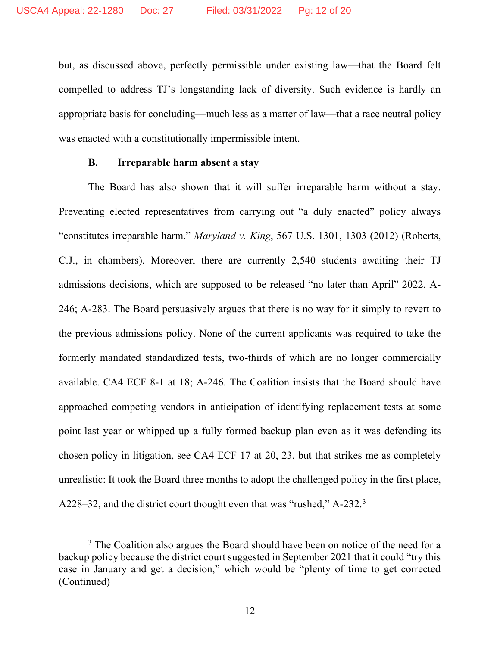but, as discussed above, perfectly permissible under existing law—that the Board felt compelled to address TJ's longstanding lack of diversity. Such evidence is hardly an appropriate basis for concluding—much less as a matter of law—that a race neutral policy was enacted with a constitutionally impermissible intent.

#### **B. Irreparable harm absent a stay**

The Board has also shown that it will suffer irreparable harm without a stay. Preventing elected representatives from carrying out "a duly enacted" policy always "constitutes irreparable harm." *Maryland v. King*, 567 U.S. 1301, 1303 (2012) (Roberts, C.J., in chambers). Moreover, there are currently 2,540 students awaiting their TJ admissions decisions, which are supposed to be released "no later than April" 2022. A-246; A-283. The Board persuasively argues that there is no way for it simply to revert to the previous admissions policy. None of the current applicants was required to take the formerly mandated standardized tests, two-thirds of which are no longer commercially available. CA4 ECF 8-1 at 18; A-246. The Coalition insists that the Board should have approached competing vendors in anticipation of identifying replacement tests at some point last year or whipped up a fully formed backup plan even as it was defending its chosen policy in litigation, see CA4 ECF 17 at 20, 23, but that strikes me as completely unrealistic: It took the Board three months to adopt the challenged policy in the first place, A228-[3](#page-11-0)2, and the district court thought even that was "rushed," A-232.<sup>3</sup>

<span id="page-11-0"></span> $3$  The Coalition also argues the Board should have been on notice of the need for a backup policy because the district court suggested in September 2021 that it could "try this case in January and get a decision," which would be "plenty of time to get corrected (Continued)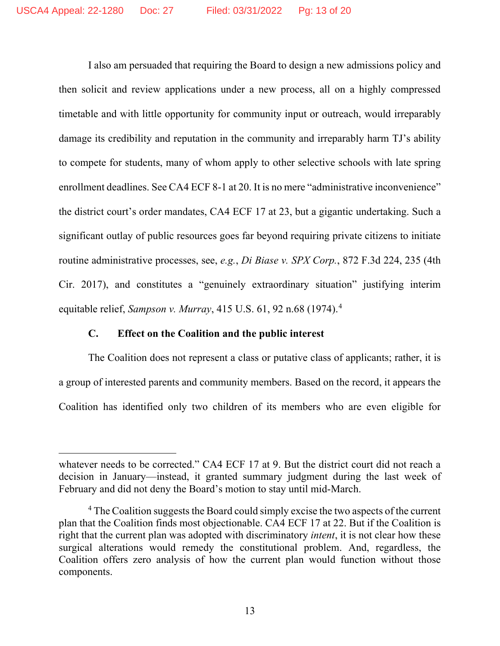I also am persuaded that requiring the Board to design a new admissions policy and then solicit and review applications under a new process, all on a highly compressed timetable and with little opportunity for community input or outreach, would irreparably damage its credibility and reputation in the community and irreparably harm TJ's ability to compete for students, many of whom apply to other selective schools with late spring enrollment deadlines. See CA4 ECF 8-1 at 20. It is no mere "administrative inconvenience" the district court's order mandates, CA4 ECF 17 at 23, but a gigantic undertaking. Such a significant outlay of public resources goes far beyond requiring private citizens to initiate routine administrative processes, see, *e.g.*, *Di Biase v. SPX Corp.*, 872 F.3d 224, 235 (4th Cir. 2017), and constitutes a "genuinely extraordinary situation" justifying interim equitable relief, *Sampson v. Murray*, 415 U.S. 61, 92 n.68 (1974).[4](#page-12-0)

### **C. Effect on the Coalition and the public interest**

The Coalition does not represent a class or putative class of applicants; rather, it is a group of interested parents and community members. Based on the record, it appears the Coalition has identified only two children of its members who are even eligible for

whatever needs to be corrected." CA4 ECF 17 at 9. But the district court did not reach a decision in January—instead, it granted summary judgment during the last week of February and did not deny the Board's motion to stay until mid-March.

<span id="page-12-0"></span><sup>&</sup>lt;sup>4</sup> The Coalition suggests the Board could simply excise the two aspects of the current plan that the Coalition finds most objectionable. CA4 ECF 17 at 22. But if the Coalition is right that the current plan was adopted with discriminatory *intent*, it is not clear how these surgical alterations would remedy the constitutional problem. And, regardless, the Coalition offers zero analysis of how the current plan would function without those components.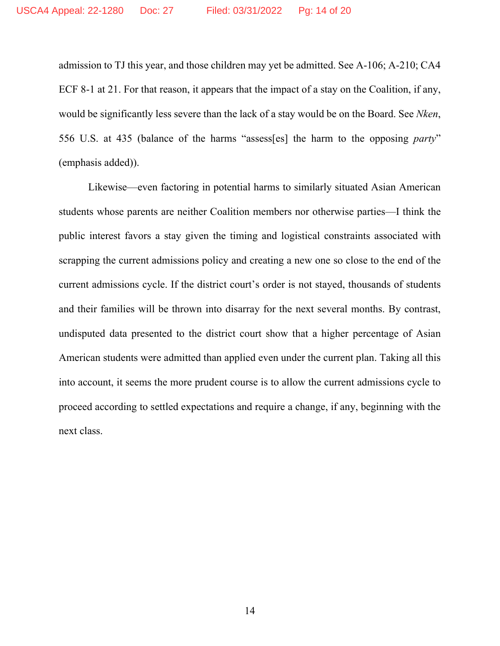admission to TJ this year, and those children may yet be admitted. See A-106; A-210; CA4 ECF 8-1 at 21. For that reason, it appears that the impact of a stay on the Coalition, if any, would be significantly less severe than the lack of a stay would be on the Board. See *Nken*, 556 U.S. at 435 (balance of the harms "assess[es] the harm to the opposing *party*" (emphasis added)).

Likewise—even factoring in potential harms to similarly situated Asian American students whose parents are neither Coalition members nor otherwise parties—I think the public interest favors a stay given the timing and logistical constraints associated with scrapping the current admissions policy and creating a new one so close to the end of the current admissions cycle. If the district court's order is not stayed, thousands of students and their families will be thrown into disarray for the next several months. By contrast, undisputed data presented to the district court show that a higher percentage of Asian American students were admitted than applied even under the current plan. Taking all this into account, it seems the more prudent course is to allow the current admissions cycle to proceed according to settled expectations and require a change, if any, beginning with the next class.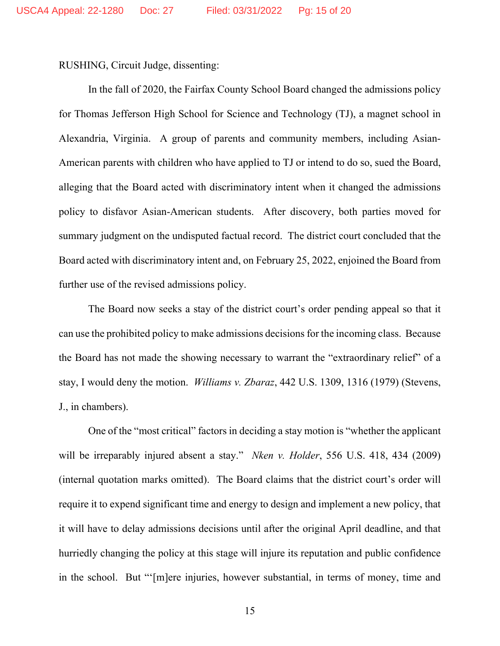RUSHING, Circuit Judge, dissenting:

In the fall of 2020, the Fairfax County School Board changed the admissions policy for Thomas Jefferson High School for Science and Technology (TJ), a magnet school in Alexandria, Virginia. A group of parents and community members, including Asian-American parents with children who have applied to TJ or intend to do so, sued the Board, alleging that the Board acted with discriminatory intent when it changed the admissions policy to disfavor Asian-American students. After discovery, both parties moved for summary judgment on the undisputed factual record. The district court concluded that the Board acted with discriminatory intent and, on February 25, 2022, enjoined the Board from further use of the revised admissions policy.

The Board now seeks a stay of the district court's order pending appeal so that it can use the prohibited policy to make admissions decisions for the incoming class. Because the Board has not made the showing necessary to warrant the "extraordinary relief" of a stay, I would deny the motion. *Williams v. Zbaraz*, 442 U.S. 1309, 1316 (1979) (Stevens, J., in chambers).

One of the "most critical" factors in deciding a stay motion is "whether the applicant will be irreparably injured absent a stay." *Nken v. Holder*, 556 U.S. 418, 434 (2009) (internal quotation marks omitted). The Board claims that the district court's order will require it to expend significant time and energy to design and implement a new policy, that it will have to delay admissions decisions until after the original April deadline, and that hurriedly changing the policy at this stage will injure its reputation and public confidence in the school. But "'[m]ere injuries, however substantial, in terms of money, time and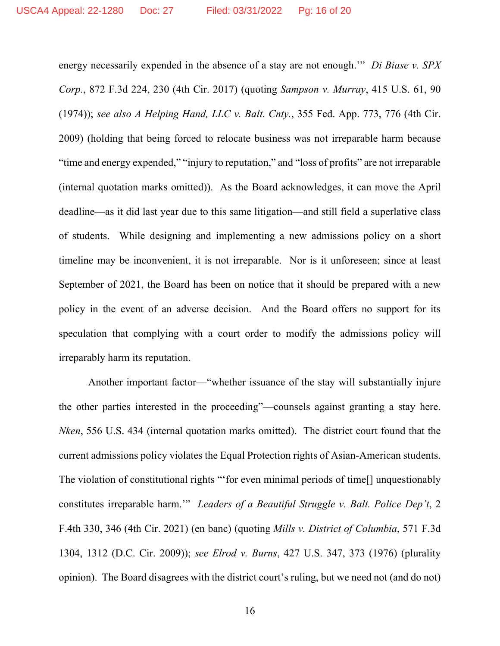energy necessarily expended in the absence of a stay are not enough.'" *Di Biase v. SPX Corp.*, 872 F.3d 224, 230 (4th Cir. 2017) (quoting *Sampson v. Murray*, 415 U.S. 61, 90 (1974)); *see also A Helping Hand, LLC v. Balt. Cnty.*, 355 Fed. App. 773, 776 (4th Cir. 2009) (holding that being forced to relocate business was not irreparable harm because "time and energy expended," "injury to reputation," and "loss of profits" are not irreparable (internal quotation marks omitted)). As the Board acknowledges, it can move the April deadline—as it did last year due to this same litigation—and still field a superlative class of students. While designing and implementing a new admissions policy on a short timeline may be inconvenient, it is not irreparable. Nor is it unforeseen; since at least September of 2021, the Board has been on notice that it should be prepared with a new policy in the event of an adverse decision. And the Board offers no support for its speculation that complying with a court order to modify the admissions policy will irreparably harm its reputation.

Another important factor—"whether issuance of the stay will substantially injure the other parties interested in the proceeding"—counsels against granting a stay here. *Nken*, 556 U.S. 434 (internal quotation marks omitted). The district court found that the current admissions policy violates the Equal Protection rights of Asian-American students. The violation of constitutional rights "'for even minimal periods of time[] unquestionably constitutes irreparable harm.'" *Leaders of a Beautiful Struggle v. Balt. Police Dep't*, 2 F.4th 330, 346 (4th Cir. 2021) (en banc) (quoting *Mills v. District of Columbia*, 571 F.3d 1304, 1312 (D.C. Cir. 2009)); *see Elrod v. Burns*, 427 U.S. 347, 373 (1976) (plurality opinion). The Board disagrees with the district court's ruling, but we need not (and do not)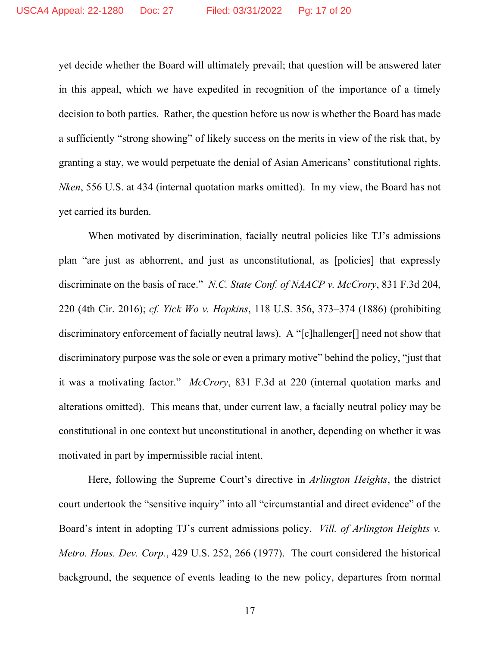yet decide whether the Board will ultimately prevail; that question will be answered later in this appeal, which we have expedited in recognition of the importance of a timely decision to both parties. Rather, the question before us now is whether the Board has made a sufficiently "strong showing" of likely success on the merits in view of the risk that, by granting a stay, we would perpetuate the denial of Asian Americans' constitutional rights. *Nken*, 556 U.S. at 434 (internal quotation marks omitted). In my view, the Board has not yet carried its burden.

When motivated by discrimination, facially neutral policies like TJ's admissions plan "are just as abhorrent, and just as unconstitutional, as [policies] that expressly discriminate on the basis of race." *N.C. State Conf. of NAACP v. McCrory*, 831 F.3d 204, 220 (4th Cir. 2016); *cf. Yick Wo v. Hopkins*, 118 U.S. 356, 373–374 (1886) (prohibiting discriminatory enforcement of facially neutral laws). A "[c]hallenger[] need not show that discriminatory purpose was the sole or even a primary motive" behind the policy, "just that it was a motivating factor." *McCrory*, 831 F.3d at 220 (internal quotation marks and alterations omitted). This means that, under current law, a facially neutral policy may be constitutional in one context but unconstitutional in another, depending on whether it was motivated in part by impermissible racial intent.

Here, following the Supreme Court's directive in *Arlington Heights*, the district court undertook the "sensitive inquiry" into all "circumstantial and direct evidence" of the Board's intent in adopting TJ's current admissions policy. *Vill. of Arlington Heights v. Metro. Hous. Dev. Corp.*, 429 U.S. 252, 266 (1977). The court considered the historical background, the sequence of events leading to the new policy, departures from normal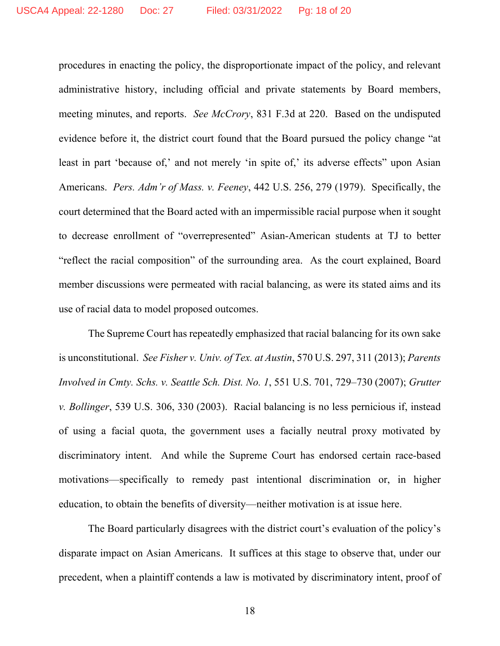procedures in enacting the policy, the disproportionate impact of the policy, and relevant administrative history, including official and private statements by Board members, meeting minutes, and reports. *See McCrory*, 831 F.3d at 220. Based on the undisputed evidence before it, the district court found that the Board pursued the policy change "at least in part 'because of,' and not merely 'in spite of,' its adverse effects' upon Asian Americans. *Pers. Adm'r of Mass. v. Feeney*, 442 U.S. 256, 279 (1979). Specifically, the court determined that the Board acted with an impermissible racial purpose when it sought to decrease enrollment of "overrepresented" Asian-American students at TJ to better "reflect the racial composition" of the surrounding area. As the court explained, Board member discussions were permeated with racial balancing, as were its stated aims and its use of racial data to model proposed outcomes.

The Supreme Court has repeatedly emphasized that racial balancing for its own sake is unconstitutional. *See Fisher v. Univ. of Tex. at Austin*, 570 U.S. 297, 311 (2013); *Parents Involved in Cmty. Schs. v. Seattle Sch. Dist. No. 1*, 551 U.S. 701, 729–730 (2007); *Grutter v. Bollinger*, 539 U.S. 306, 330 (2003). Racial balancing is no less pernicious if, instead of using a facial quota, the government uses a facially neutral proxy motivated by discriminatory intent. And while the Supreme Court has endorsed certain race-based motivations—specifically to remedy past intentional discrimination or, in higher education, to obtain the benefits of diversity—neither motivation is at issue here.

The Board particularly disagrees with the district court's evaluation of the policy's disparate impact on Asian Americans. It suffices at this stage to observe that, under our precedent, when a plaintiff contends a law is motivated by discriminatory intent, proof of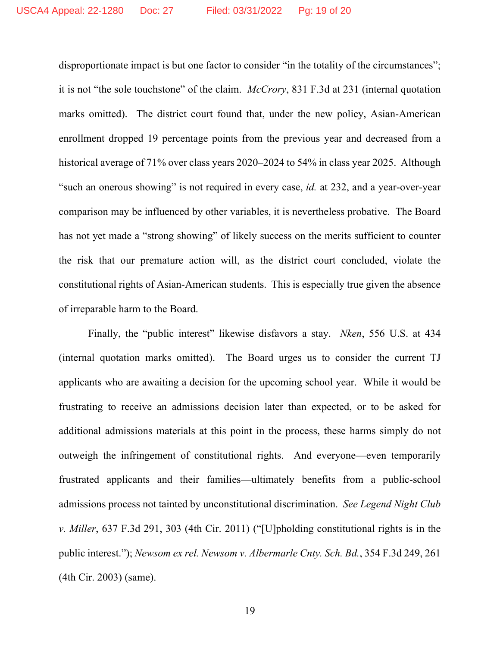disproportionate impact is but one factor to consider "in the totality of the circumstances"; it is not "the sole touchstone" of the claim. *McCrory*, 831 F.3d at 231 (internal quotation marks omitted). The district court found that, under the new policy, Asian-American enrollment dropped 19 percentage points from the previous year and decreased from a historical average of 71% over class years 2020–2024 to 54% in class year 2025. Although "such an onerous showing" is not required in every case, *id.* at 232, and a year-over-year comparison may be influenced by other variables, it is nevertheless probative. The Board has not yet made a "strong showing" of likely success on the merits sufficient to counter the risk that our premature action will, as the district court concluded, violate the constitutional rights of Asian-American students. This is especially true given the absence of irreparable harm to the Board.

Finally, the "public interest" likewise disfavors a stay. *Nken*, 556 U.S. at 434 (internal quotation marks omitted). The Board urges us to consider the current TJ applicants who are awaiting a decision for the upcoming school year. While it would be frustrating to receive an admissions decision later than expected, or to be asked for additional admissions materials at this point in the process, these harms simply do not outweigh the infringement of constitutional rights. And everyone—even temporarily frustrated applicants and their families—ultimately benefits from a public-school admissions process not tainted by unconstitutional discrimination. *See Legend Night Club v. Miller*, 637 F.3d 291, 303 (4th Cir. 2011) ("[U]pholding constitutional rights is in the public interest."); *Newsom ex rel. Newsom v. Albermarle Cnty. Sch. Bd.*, 354 F.3d 249, 261 (4th Cir. 2003) (same).